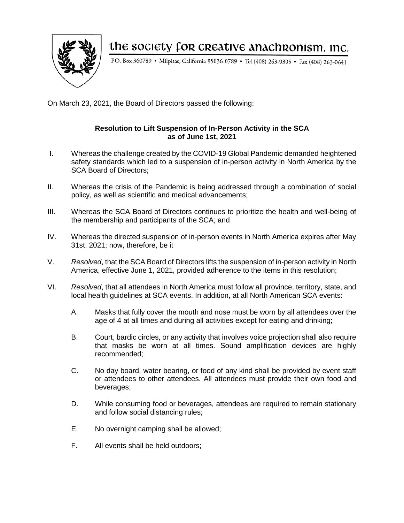

## the society for creative anachronism, inc.

P.O. Box 360789 · Milpitas, California 95036-0789 · Tel (408) 263-9305 · Fax (408) 263-0641

On March 23, 2021, the Board of Directors passed the following:

## **Resolution to Lift Suspension of In-Person Activity in the SCA as of June 1st, 2021**

- I. Whereas the challenge created by the COVID-19 Global Pandemic demanded heightened safety standards which led to a suspension of in-person activity in North America by the SCA Board of Directors;
- II. Whereas the crisis of the Pandemic is being addressed through a combination of social policy, as well as scientific and medical advancements;
- III. Whereas the SCA Board of Directors continues to prioritize the health and well-being of the membership and participants of the SCA; and
- IV. Whereas the directed suspension of in-person events in North America expires after May 31st, 2021; now, therefore, be it
- V. *Resolved*, that the SCA Board of Directors lifts the suspension of in-person activity in North America, effective June 1, 2021, provided adherence to the items in this resolution;
- VI. *Resolved*, that all attendees in North America must follow all province, territory, state, and local health guidelines at SCA events. In addition, at all North American SCA events:
	- A. Masks that fully cover the mouth and nose must be worn by all attendees over the age of 4 at all times and during all activities except for eating and drinking;
	- B. Court, bardic circles, or any activity that involves voice projection shall also require that masks be worn at all times. Sound amplification devices are highly recommended;
	- C. No day board, water bearing, or food of any kind shall be provided by event staff or attendees to other attendees. All attendees must provide their own food and beverages;
	- D. While consuming food or beverages, attendees are required to remain stationary and follow social distancing rules;
	- E. No overnight camping shall be allowed;
	- F. All events shall be held outdoors;